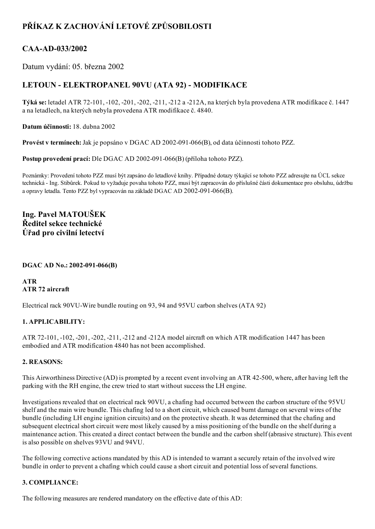# PŘÍKAZ K ZACHOVÁNÍ LETOVÉ ZPŮSOBILOSTI

## CAA-AD-033/2002

Datum vydání: 05. března 2002

## LETOUN - ELEKTROPANEL 90VU (ATA 92) - MODIFIKACE

Týká se: letadel ATR 72-101, -102, -201, -202, -211, -212 a -212A, na kterých byla provedena ATR modifikace č. 1447 a na letadlech, na kterých nebyla provedena ATR modifikace č. 4840.

Datum účinnosti: 18. dubna 2002

Provést v termínech: Jak je popsáno v DGAC AD 2002-091-066(B), od data účinnosti tohoto PZZ.

Postup provedení prací: Dle DGAC AD 2002-091-066(B) (příloha tohoto PZZ).

Poznámky: Provedení tohoto PZZ musí být zapsáno do letadlové knihy. Případné dotazy týkající se tohoto PZZ adresujte na ÚCL sekce technická Ing. Stibůrek. Pokud to vyžaduje povaha tohoto PZZ, musí být zapracován do příslušné části dokumentace pro obsluhu, údržbu a opravy letadla. Tento PZZ byl vypracován na základě DGAC AD 2002-091-066(B).

Ing. Pavel MATOUŠEK Ředitel sekce technické Úřad pro civilní letectví

#### DGAC AD No.: 2002-091-066(B)

ATR ATR 72 aircraft

Electrical rack 90VU-Wire bundle routing on 93, 94 and 95VU carbon shelves (ATA 92)

#### 1. APPLICABILITY:

ATR 72-101, -102, -201, -202, -211, -212 and -212A model aircraft on which ATR modification 1447 has been embodied and ATR modification 4840 has not been accomplished.

#### 2. REASONS:

This Airworthiness Directive (AD) is prompted by a recent event involving an ATR 42500, where, after having left the parking with the RH engine, the crew tried to start without success the LH engine.

Investigations revealed that on electrical rack 90VU, a chafing had occurred between the carbon structure of the 95VU shelf and the main wire bundle. This chafing led to a short circuit, which caused burnt damage on several wires of the bundle (including LH engine ignition circuits) and on the protective sheath. It was determined that the chafing and subsequent electrical short circuit were most likely caused by a miss positioning of the bundle on the shelf during a maintenance action. This created a direct contact between the bundle and the carbon shelf (abrasive structure). This event is also possible on shelves 93VU and 94VU.

The following corrective actions mandated by this AD is intended to warrant a securely retain of the involved wire bundle in order to prevent a chafing which could cause a short circuit and potential loss of several functions.

#### 3. COMPLIANCE:

The following measures are rendered mandatory on the effective date of this AD: